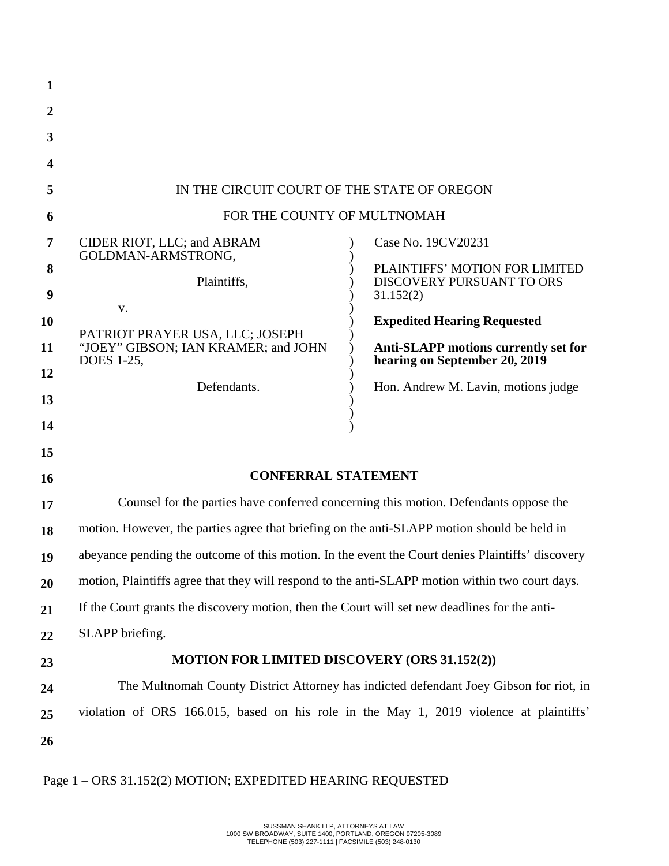| $\mathbf{1}$          |                                                                                                  |  |                                                                              |  |
|-----------------------|--------------------------------------------------------------------------------------------------|--|------------------------------------------------------------------------------|--|
| $\boldsymbol{2}$      |                                                                                                  |  |                                                                              |  |
| 3                     |                                                                                                  |  |                                                                              |  |
| 4                     |                                                                                                  |  |                                                                              |  |
| 5                     | IN THE CIRCUIT COURT OF THE STATE OF OREGON                                                      |  |                                                                              |  |
| 6                     | FOR THE COUNTY OF MULTNOMAH                                                                      |  |                                                                              |  |
| 7                     | CIDER RIOT, LLC; and ABRAM<br>GOLDMAN-ARMSTRONG,                                                 |  | Case No. 19CV20231                                                           |  |
| 8<br>$\boldsymbol{9}$ | Plaintiffs,                                                                                      |  | PLAINTIFFS' MOTION FOR LIMITED<br>DISCOVERY PURSUANT TO ORS<br>31.152(2)     |  |
| 10                    | V.                                                                                               |  | <b>Expedited Hearing Requested</b>                                           |  |
| 11                    | PATRIOT PRAYER USA, LLC; JOSEPH<br>"JOEY" GIBSON; IAN KRAMER; and JOHN<br>DOES 1-25,             |  | <b>Anti-SLAPP motions currently set for</b><br>hearing on September 20, 2019 |  |
| 12<br>13              | Defendants.                                                                                      |  | Hon. Andrew M. Lavin, motions judge                                          |  |
| 14                    |                                                                                                  |  |                                                                              |  |
| 15                    |                                                                                                  |  |                                                                              |  |
| 16                    | <b>CONFERRAL STATEMENT</b>                                                                       |  |                                                                              |  |
| 17                    | Counsel for the parties have conferred concerning this motion. Defendants oppose the             |  |                                                                              |  |
| 18                    | motion. However, the parties agree that briefing on the anti-SLAPP motion should be held in      |  |                                                                              |  |
| 19                    | abeyance pending the outcome of this motion. In the event the Court denies Plaintiffs' discovery |  |                                                                              |  |
| 20                    | motion, Plaintiffs agree that they will respond to the anti-SLAPP motion within two court days.  |  |                                                                              |  |
| 21                    | If the Court grants the discovery motion, then the Court will set new deadlines for the anti-    |  |                                                                              |  |
| 22                    | SLAPP briefing.                                                                                  |  |                                                                              |  |
| 23                    | <b>MOTION FOR LIMITED DISCOVERY (ORS 31.152(2))</b>                                              |  |                                                                              |  |
| 24                    | The Multnomah County District Attorney has indicted defendant Joey Gibson for riot, in           |  |                                                                              |  |
| 25                    | violation of ORS 166.015, based on his role in the May 1, 2019 violence at plaintiffs'           |  |                                                                              |  |
| 26                    |                                                                                                  |  |                                                                              |  |
|                       |                                                                                                  |  |                                                                              |  |

# Page 1 – ORS 31.152(2) MOTION; EXPEDITED HEARING REQUESTED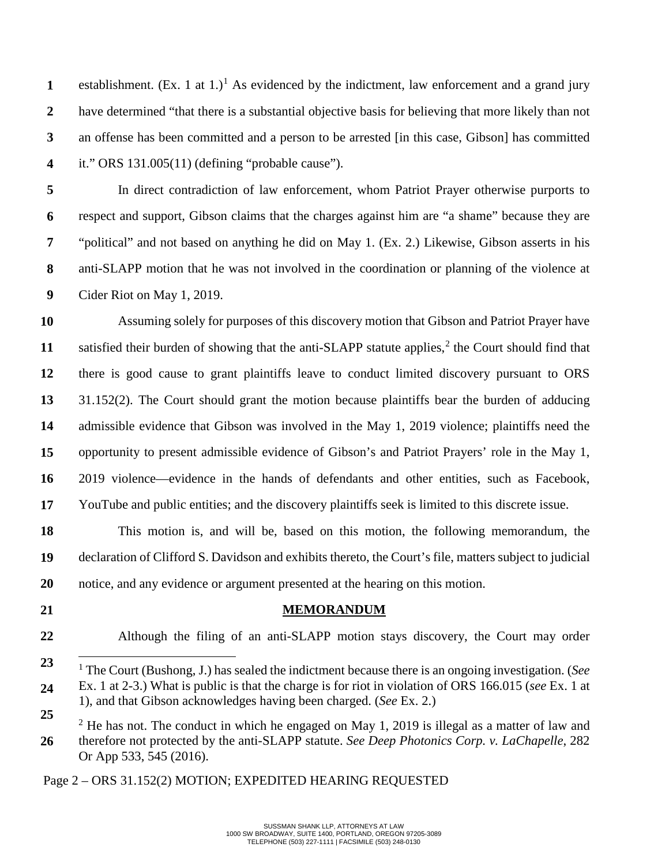**1 2 3 4** establishment. (Ex. [1](#page-1-0) at 1.)<sup>1</sup> As evidenced by the indictment, law enforcement and a grand jury have determined "that there is a substantial objective basis for believing that more likely than not an offense has been committed and a person to be arrested [in this case, Gibson] has committed it." ORS 131.005(11) (defining "probable cause").

**5 6 7 8 9** In direct contradiction of law enforcement, whom Patriot Prayer otherwise purports to respect and support, Gibson claims that the charges against him are "a shame" because they are "political" and not based on anything he did on May 1. (Ex. 2.) Likewise, Gibson asserts in his anti-SLAPP motion that he was not involved in the coordination or planning of the violence at Cider Riot on May 1, 2019.

**10 11 12 13 14 15 16 17** Assuming solely for purposes of this discovery motion that Gibson and Patriot Prayer have satisfied their burden of showing that the anti-SLAPP statute applies, $<sup>2</sup>$  $<sup>2</sup>$  $<sup>2</sup>$  the Court should find that</sup> there is good cause to grant plaintiffs leave to conduct limited discovery pursuant to ORS 31.152(2). The Court should grant the motion because plaintiffs bear the burden of adducing admissible evidence that Gibson was involved in the May 1, 2019 violence; plaintiffs need the opportunity to present admissible evidence of Gibson's and Patriot Prayers' role in the May 1, 2019 violence—evidence in the hands of defendants and other entities, such as Facebook, YouTube and public entities; and the discovery plaintiffs seek is limited to this discrete issue.

**18 19 20** This motion is, and will be, based on this motion, the following memorandum, the declaration of Clifford S. Davidson and exhibits thereto, the Court's file, matters subject to judicial notice, and any evidence or argument presented at the hearing on this motion.

**21**

#### **MEMORANDUM**

**22** Although the filing of an anti-SLAPP motion stays discovery, the Court may order

Page 2 – ORS 31.152(2) MOTION; EXPEDITED HEARING REQUESTED

<span id="page-1-0"></span>**<sup>23</sup> 24** <sup>1</sup> The Court (Bushong, J.) has sealed the indictment because there is an ongoing investigation. (*See*  Ex. 1 at 2-3.) What is public is that the charge is for riot in violation of ORS 166.015 (*see* Ex. 1 at 1), and that Gibson acknowledges having been charged. (*See* Ex. 2.)

<span id="page-1-1"></span>**<sup>25</sup> 26**  $2$  He has not. The conduct in which he engaged on May 1, 2019 is illegal as a matter of law and therefore not protected by the anti-SLAPP statute. *See Deep Photonics Corp. v. LaChapelle*, 282 Or App 533, 545 (2016).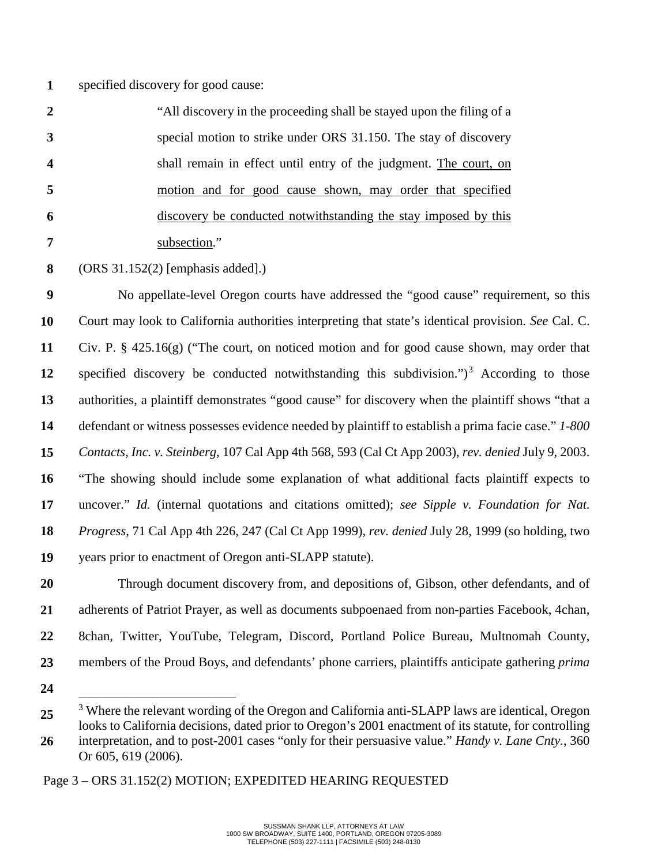**1** specified discovery for good cause:

| $\mathbf{2}$             | "All discovery in the proceeding shall be stayed upon the filing of a |
|--------------------------|-----------------------------------------------------------------------|
|                          | special motion to strike under ORS 31.150. The stay of discovery      |
| $\overline{\mathcal{A}}$ | shall remain in effect until entry of the judgment. The court, on     |
| -5                       | motion and for good cause shown, may order that specified             |
| -6                       | discovery be conducted notwithstanding the stay imposed by this       |
|                          | subsection."                                                          |

**8** (ORS 31.152(2) [emphasis added].)

**9 10 11 12 13 14 15 16 17 18 19 20 21** No appellate-level Oregon courts have addressed the "good cause" requirement, so this Court may look to California authorities interpreting that state's identical provision. *See* Cal. C. Civ. P. § 425.16(g) ("The court, on noticed motion and for good cause shown, may order that specified discovery be conducted notwithstanding this subdivision." $)^3$  $)^3$  According to those authorities, a plaintiff demonstrates "good cause" for discovery when the plaintiff shows "that a defendant or witness possesses evidence needed by plaintiff to establish a prima facie case." *1-800 Contacts, Inc. v. Steinberg*, 107 Cal App 4th 568, 593 (Cal Ct App 2003), *rev. denied* July 9, 2003. "The showing should include some explanation of what additional facts plaintiff expects to uncover." *Id.* (internal quotations and citations omitted); *see Sipple v. Foundation for Nat. Progress*, 71 Cal App 4th 226, 247 (Cal Ct App 1999), *rev. denied* July 28, 1999 (so holding, two years prior to enactment of Oregon anti-SLAPP statute). Through document discovery from, and depositions of, Gibson, other defendants, and of adherents of Patriot Prayer, as well as documents subpoenaed from non-parties Facebook, 4chan,

- **22** 8chan, Twitter, YouTube, Telegram, Discord, Portland Police Bureau, Multnomah County,
- **23**
- **24**

members of the Proud Boys, and defendants' phone carriers, plaintiffs anticipate gathering *prima* 

<span id="page-2-0"></span>**<sup>25</sup>** <sup>3</sup> Where the relevant wording of the Oregon and California anti-SLAPP laws are identical, Oregon looks to California decisions, dated prior to Oregon's 2001 enactment of its statute, for controlling

**<sup>26</sup>** interpretation, and to post-2001 cases "only for their persuasive value." *Handy v. Lane Cnty.*, 360 Or 605, 619 (2006).

Page 3 – ORS 31.152(2) MOTION; EXPEDITED HEARING REQUESTED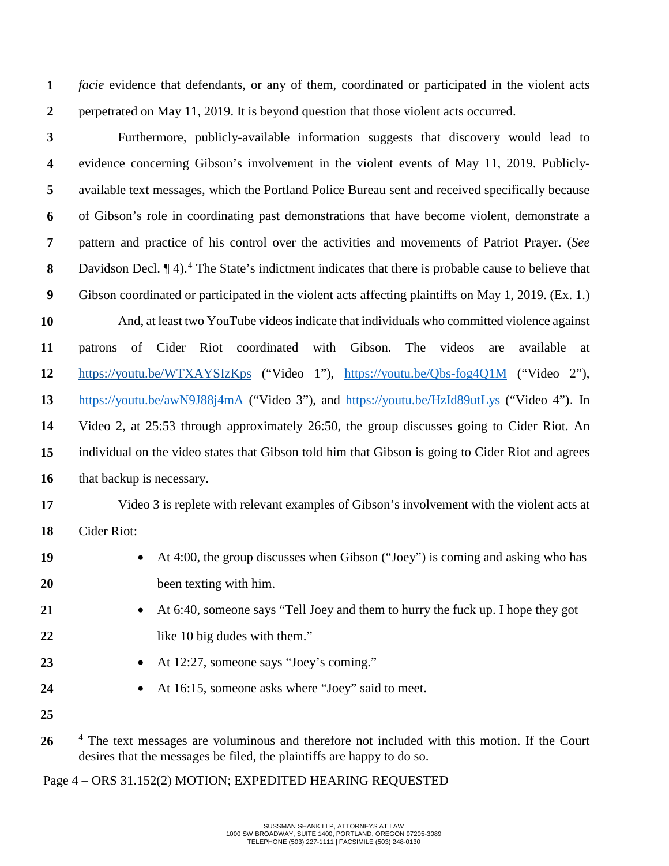**1 2** *facie* evidence that defendants, or any of them, coordinated or participated in the violent acts perpetrated on May 11, 2019. It is beyond question that those violent acts occurred.

- **3 4 5 6 7 8 9 10 11 12 13 14 15 16** Furthermore, publicly-available information suggests that discovery would lead to evidence concerning Gibson's involvement in the violent events of May 11, 2019. Publiclyavailable text messages, which the Portland Police Bureau sent and received specifically because of Gibson's role in coordinating past demonstrations that have become violent, demonstrate a pattern and practice of his control over the activities and movements of Patriot Prayer. (*See*  Davidson Decl.  $\P$  [4](#page-3-0)).<sup>4</sup> The State's indictment indicates that there is probable cause to believe that Gibson coordinated or participated in the violent acts affecting plaintiffs on May 1, 2019. (Ex. 1.) And, at least two YouTube videos indicate that individuals who committed violence against patrons of Cider Riot coordinated with Gibson. The videos are available at <https://youtu.be/WTXAYSIzKps> ("Video 1"), <https://youtu.be/Qbs-fog4Q1M> ("Video 2"), <https://youtu.be/awN9J88j4mA> ("Video 3"), and<https://youtu.be/HzId89utLys> ("Video 4"). In Video 2, at 25:53 through approximately 26:50, the group discusses going to Cider Riot. An individual on the video states that Gibson told him that Gibson is going to Cider Riot and agrees that backup is necessary.
- **17 18** Video 3 is replete with relevant examples of Gibson's involvement with the violent acts at Cider Riot:
- **19 20** • At 4:00, the group discusses when Gibson ("Joey") is coming and asking who has been texting with him.
- **21 22** • At 6:40, someone says "Tell Joey and them to hurry the fuck up. I hope they got like 10 big dudes with them."
- **23** • At 12:27, someone says "Joey's coming."
- **24** • At 16:15, someone asks where "Joey" said to meet.
- **25**

Page 4 – ORS 31.152(2) MOTION; EXPEDITED HEARING REQUESTED

<span id="page-3-0"></span>**<sup>26</sup>** <sup>4</sup> The text messages are voluminous and therefore not included with this motion. If the Court desires that the messages be filed, the plaintiffs are happy to do so.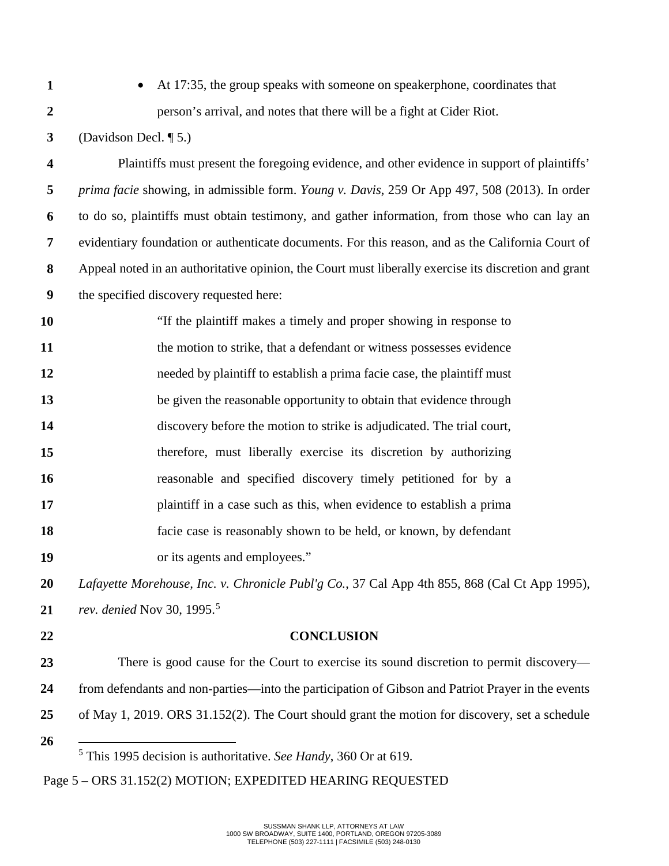**1**

**2**

• At 17:35, the group speaks with someone on speakerphone, coordinates that person's arrival, and notes that there will be a fight at Cider Riot.

**3** (Davidson Decl. ¶ 5.)

**4 5 6 7 8 9** Plaintiffs must present the foregoing evidence, and other evidence in support of plaintiffs' *prima facie* showing, in admissible form. *Young v. Davis*, 259 Or App 497, 508 (2013). In order to do so, plaintiffs must obtain testimony, and gather information, from those who can lay an evidentiary foundation or authenticate documents. For this reason, and as the California Court of Appeal noted in an authoritative opinion, the Court must liberally exercise its discretion and grant the specified discovery requested here:

**10 11 12 13 14 15 16 17 18 19** "If the plaintiff makes a timely and proper showing in response to the motion to strike, that a defendant or witness possesses evidence needed by plaintiff to establish a prima facie case, the plaintiff must be given the reasonable opportunity to obtain that evidence through discovery before the motion to strike is adjudicated. The trial court, therefore, must liberally exercise its discretion by authorizing reasonable and specified discovery timely petitioned for by a plaintiff in a case such as this, when evidence to establish a prima facie case is reasonably shown to be held, or known, by defendant or its agents and employees."

**20 21** *Lafayette Morehouse, Inc. v. Chronicle Publ'g Co.*, 37 Cal App 4th 855, 868 (Cal Ct App 1995), *rev. denied* Nov 30, 199[5](#page-4-0).<sup>5</sup>

**22**

### **CONCLUSION**

**23 24 25 26** There is good cause for the Court to exercise its sound discretion to permit discovery from defendants and non-parties—into the participation of Gibson and Patriot Prayer in the events of May 1, 2019. ORS 31.152(2). The Court should grant the motion for discovery, set a schedule

<sup>5</sup> This 1995 decision is authoritative. *See Handy*, 360 Or at 619.

<span id="page-4-0"></span>Page 5 – ORS 31.152(2) MOTION; EXPEDITED HEARING REQUESTED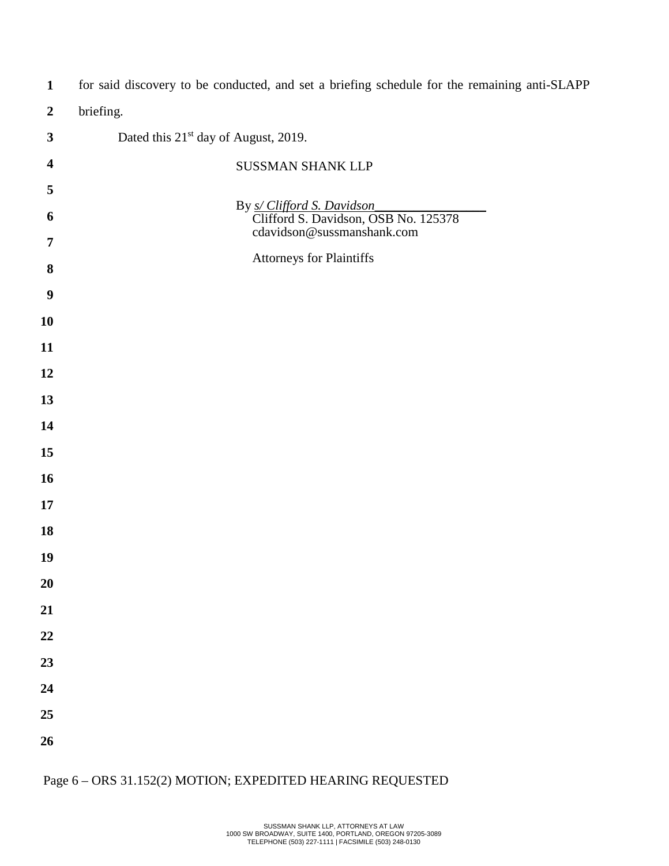| $\mathbf{1}$            | for said discovery to be conducted, and set a briefing schedule for the remaining anti-SLAPP     |  |  |
|-------------------------|--------------------------------------------------------------------------------------------------|--|--|
| $\boldsymbol{2}$        | briefing.                                                                                        |  |  |
| $\mathbf{3}$            | Dated this 21 <sup>st</sup> day of August, 2019.                                                 |  |  |
| $\overline{\mathbf{4}}$ | SUSSMAN SHANK LLP                                                                                |  |  |
| 5                       |                                                                                                  |  |  |
| 6                       | By s/ Clifford S. Davidson<br>Clifford S. Davidson, OSB No. 125378<br>cdavidson@sussmanshank.com |  |  |
| 7                       | Attorneys for Plaintiffs                                                                         |  |  |
| 8                       |                                                                                                  |  |  |
| $\boldsymbol{9}$        |                                                                                                  |  |  |
| 10                      |                                                                                                  |  |  |
| 11                      |                                                                                                  |  |  |
| 12                      |                                                                                                  |  |  |
| 13                      |                                                                                                  |  |  |
| 14                      |                                                                                                  |  |  |
| 15                      |                                                                                                  |  |  |
| 16                      |                                                                                                  |  |  |
| 17                      |                                                                                                  |  |  |
| 18<br>19                |                                                                                                  |  |  |
| 20                      |                                                                                                  |  |  |
| 21                      |                                                                                                  |  |  |
| 22                      |                                                                                                  |  |  |
| 23                      |                                                                                                  |  |  |
| 24                      |                                                                                                  |  |  |
| 25                      |                                                                                                  |  |  |
| 26                      |                                                                                                  |  |  |
|                         |                                                                                                  |  |  |

# Page 6 – ORS 31.152(2) MOTION; EXPEDITED HEARING REQUESTED